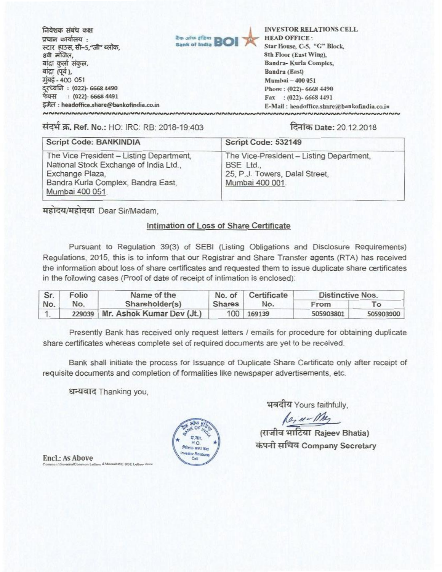निवेशक संबंध कक्ष प्रधान कार्यालय : स्टार हाउस, सी-5,"जी" ब्लॉक, 8वी मंजिल, बांद्रा कुर्ला संकुल, बांद्रा (पूर्व ), मुंबई - 400 051 दुरध्वनि : (022)- 6668 4490 फेक्स : (022)- 6668 4491 इमेल: headoffice.share@bankofindia.co.in NNNNNNNNNNNNNNNNNNNNNNN



**INVESTOR RELATIONS CELL HEAD OFFICE:** Star House, C-5, "G" Block, 8th Floor (East Wing), Bandra-Kurla Complex, Bandra (East) Mumbai - 400 051 Phone: (022)-6668 4490 Fax: (022)-6668 4491 E-Mail: headoffice.share@bankofindia.co.in **INNNNNNNNNNNNNNNNNNNN** 

संदर्भ क्र. Ref. No.: HO: IRC: RB: 2018-19:403

## दिनांक Date: 20.12.2018

| <b>Script Code: BANKINDIA</b>                                                                                                                                  | Script Code: 532149                                                                                        |
|----------------------------------------------------------------------------------------------------------------------------------------------------------------|------------------------------------------------------------------------------------------------------------|
| The Vice President - Listing Department,<br>National Stock Exchange of India Ltd.,<br>Exchange Plaza,<br>Bandra Kurla Complex, Bandra East,<br>Mumbai 400 051. | The Vice-President - Listing Department,<br>BSE Ltd.,<br>25, P.J. Towers, Dalal Street,<br>Mumbai 400 001. |

महोदय/महोदया Dear Sir/Madam.

## Intimation of Loss of Share Certificate

Pursuant to Regulation 39(3) of SEBI (Listing Obligations and Disclosure Reguirements) Regulations, 2015, this is to inform that our Registrar and Share Transfer agents (RTA) has received the information about loss of share certificates and requested them to issue duplicate share certificates in the following cases (Proof of date of receipt of intimation is enclosed):

| Sr. | Folio | Name of the                      | No. of | Certificate | <b>Distinctive Nos.</b> |           |
|-----|-------|----------------------------------|--------|-------------|-------------------------|-----------|
| No. | No.   | Shareholder(s)                   | Shares | No.         | From                    | To        |
|     |       | 229039 Mr. Ashok Kumar Dev (Jt.) |        | 100 169139  | 505903801               | 505903900 |

Presently Bank has received only request letters / emails for procedure for obtaining duplicate share certificates whereas complete set of required documents are yet to be received.

Bank shall initiate the process for Issuance of Duplicate Share Certificate only after receipt of requisite documents and completion of formalities like newspaper advertisements, etc.

धन्यवाद Thanking you,

**ISE BSE Letters** 

प्र का HO के संबंध कर or Retatio  $C_{m}$ 

**Encl.: As Above** 

भवदीय Yours faithfully,

 $\sqrt{\rho_2 \mu - \rho_1/\rho_2}$ (राजीव भाटिया Rajeev Bhatia) कंपनी सचिव Company Secretary